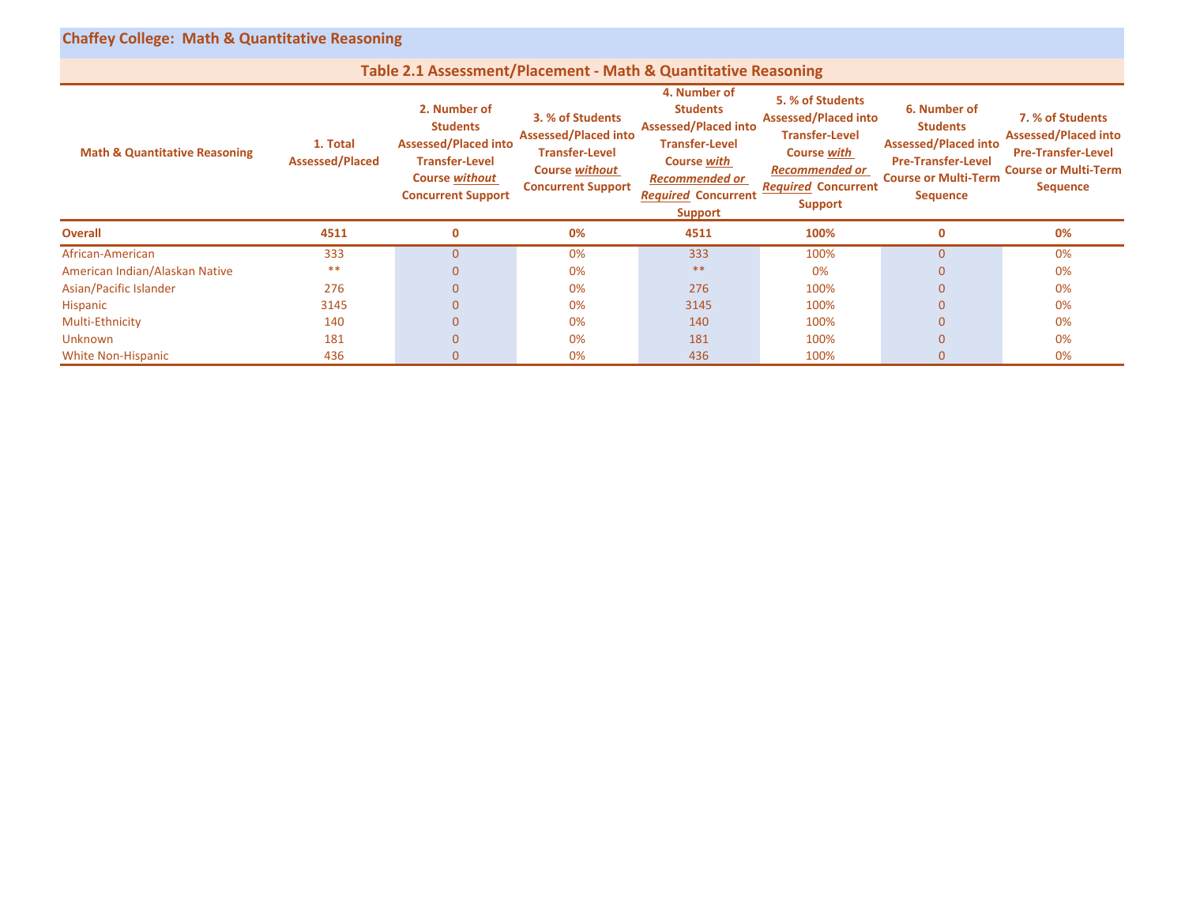| <b>Chaffey College: Math &amp; Quantitative Reasoning</b> |                                    |                                                                                                                                               |                                                                                                                                |                                                                                                                                                                                        |                                                                                                                                                                         |                                                                                                                                               |                                                                                                                                |
|-----------------------------------------------------------|------------------------------------|-----------------------------------------------------------------------------------------------------------------------------------------------|--------------------------------------------------------------------------------------------------------------------------------|----------------------------------------------------------------------------------------------------------------------------------------------------------------------------------------|-------------------------------------------------------------------------------------------------------------------------------------------------------------------------|-----------------------------------------------------------------------------------------------------------------------------------------------|--------------------------------------------------------------------------------------------------------------------------------|
|                                                           |                                    | Table 2.1 Assessment/Placement - Math & Quantitative Reasoning                                                                                |                                                                                                                                |                                                                                                                                                                                        |                                                                                                                                                                         |                                                                                                                                               |                                                                                                                                |
| <b>Math &amp; Quantitative Reasoning</b>                  | 1. Total<br><b>Assessed/Placed</b> | 2. Number of<br><b>Students</b><br><b>Assessed/Placed into</b><br><b>Transfer-Level</b><br><b>Course without</b><br><b>Concurrent Support</b> | 3. % of Students<br><b>Assessed/Placed into</b><br><b>Transfer-Level</b><br><b>Course without</b><br><b>Concurrent Support</b> | 4. Number of<br><b>Students</b><br><b>Assessed/Placed into</b><br><b>Transfer-Level</b><br><b>Course with</b><br><b>Recommended or</b><br><b>Required Concurrent</b><br><b>Support</b> | 5. % of Students<br><b>Assessed/Placed into</b><br><b>Transfer-Level</b><br><b>Course with</b><br><b>Recommended or</b><br><b>Required Concurrent</b><br><b>Support</b> | 6. Number of<br><b>Students</b><br><b>Assessed/Placed into</b><br><b>Pre-Transfer-Level</b><br><b>Course or Multi-Term</b><br><b>Sequence</b> | 7. % of Students<br><b>Assessed/Placed into</b><br><b>Pre-Transfer-Level</b><br><b>Course or Multi-Term</b><br><b>Sequence</b> |
| <b>Overall</b>                                            | 4511                               | $\mathbf 0$                                                                                                                                   | 0%                                                                                                                             | 4511                                                                                                                                                                                   | 100%                                                                                                                                                                    | $\mathbf 0$                                                                                                                                   | 0%                                                                                                                             |
| African-American                                          | 333                                | $\Omega$                                                                                                                                      | 0%                                                                                                                             | 333                                                                                                                                                                                    | 100%                                                                                                                                                                    | $\overline{0}$                                                                                                                                | 0%                                                                                                                             |
| American Indian/Alaskan Native                            | **                                 | 0                                                                                                                                             | 0%                                                                                                                             | **                                                                                                                                                                                     | 0%                                                                                                                                                                      | $\Omega$                                                                                                                                      | 0%                                                                                                                             |
| Asian/Pacific Islander                                    | 276                                | 0                                                                                                                                             | 0%                                                                                                                             | 276                                                                                                                                                                                    | 100%                                                                                                                                                                    | $\Omega$                                                                                                                                      | 0%                                                                                                                             |
| Hispanic                                                  | 3145                               | 0                                                                                                                                             | 0%                                                                                                                             | 3145                                                                                                                                                                                   | 100%                                                                                                                                                                    | $\Omega$                                                                                                                                      | 0%                                                                                                                             |
| Multi-Ethnicity                                           | 140                                | 0                                                                                                                                             | 0%                                                                                                                             | 140                                                                                                                                                                                    | 100%                                                                                                                                                                    | $\Omega$                                                                                                                                      | 0%                                                                                                                             |
| <b>Unknown</b>                                            | 181                                | 0                                                                                                                                             | 0%                                                                                                                             | 181                                                                                                                                                                                    | 100%                                                                                                                                                                    | $\Omega$                                                                                                                                      | 0%                                                                                                                             |
| <b>White Non-Hispanic</b>                                 | 436                                | 0                                                                                                                                             | 0%                                                                                                                             | 436                                                                                                                                                                                    | 100%                                                                                                                                                                    | $\mathbf 0$                                                                                                                                   | 0%                                                                                                                             |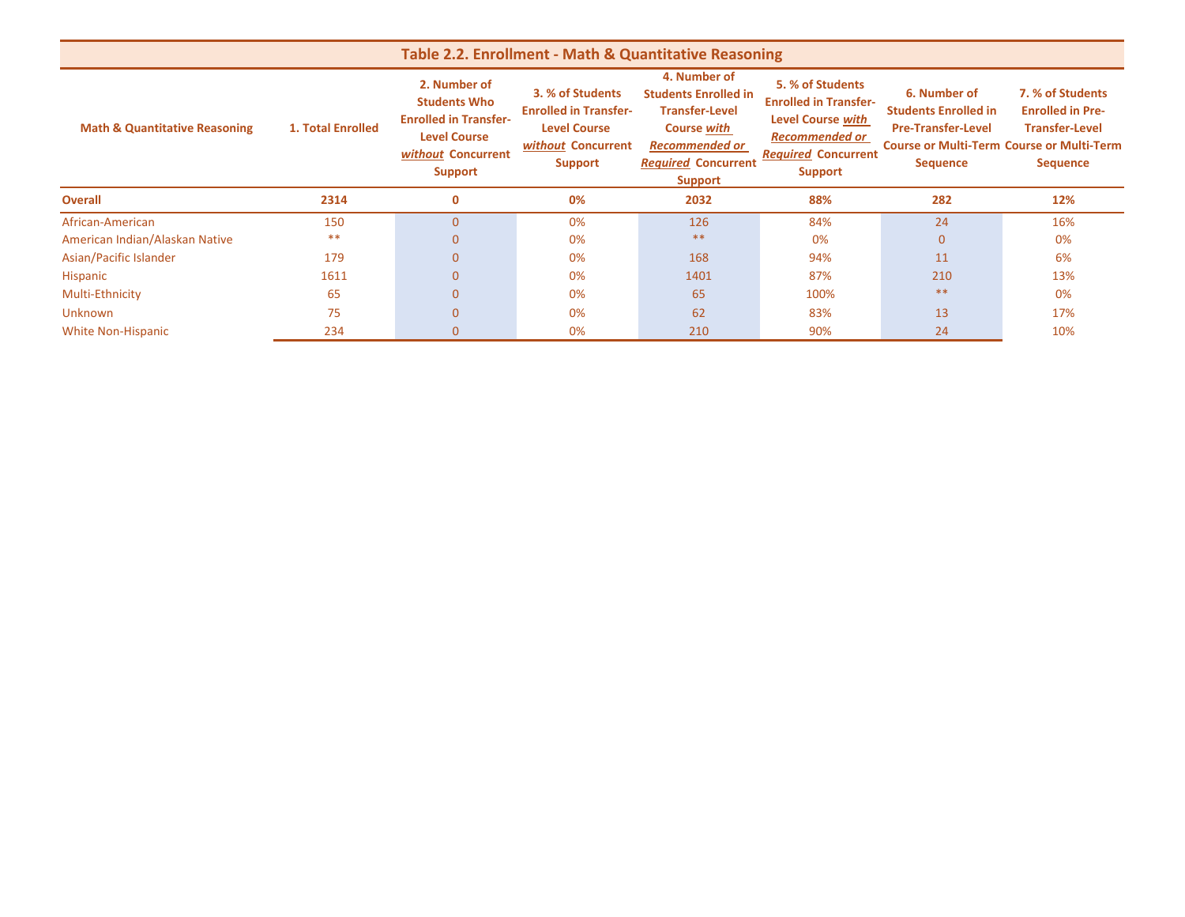| <b>Table 2.2. Enrollment - Math &amp; Quantitative Reasoning</b> |                   |                                                                                                                                    |                                                                                                                 |                                                                                                                                                                     |                                                                                                                                                |                                                                                             |                                                                                                                                             |
|------------------------------------------------------------------|-------------------|------------------------------------------------------------------------------------------------------------------------------------|-----------------------------------------------------------------------------------------------------------------|---------------------------------------------------------------------------------------------------------------------------------------------------------------------|------------------------------------------------------------------------------------------------------------------------------------------------|---------------------------------------------------------------------------------------------|---------------------------------------------------------------------------------------------------------------------------------------------|
| <b>Math &amp; Quantitative Reasoning</b>                         | 1. Total Enrolled | 2. Number of<br><b>Students Who</b><br><b>Enrolled in Transfer-</b><br><b>Level Course</b><br>without Concurrent<br><b>Support</b> | 3. % of Students<br><b>Enrolled in Transfer-</b><br><b>Level Course</b><br>without Concurrent<br><b>Support</b> | 4. Number of<br><b>Students Enrolled in</b><br><b>Transfer-Level</b><br><b>Course with</b><br><b>Recommended or</b><br><b>Required Concurrent</b><br><b>Support</b> | 5. % of Students<br><b>Enrolled in Transfer-</b><br>Level Course with<br><b>Recommended or</b><br><b>Required Concurrent</b><br><b>Support</b> | 6. Number of<br><b>Students Enrolled in</b><br><b>Pre-Transfer-Level</b><br><b>Sequence</b> | 7. % of Students<br><b>Enrolled in Pre-</b><br><b>Transfer-Level</b><br><b>Course or Multi-Term Course or Multi-Term</b><br><b>Sequence</b> |
| <b>Overall</b>                                                   | 2314              | $\mathbf 0$                                                                                                                        | 0%                                                                                                              | 2032                                                                                                                                                                | 88%                                                                                                                                            | 282                                                                                         | 12%                                                                                                                                         |
| African-American                                                 | 150               | $\Omega$                                                                                                                           | 0%                                                                                                              | 126                                                                                                                                                                 | 84%                                                                                                                                            | 24                                                                                          | 16%                                                                                                                                         |
| American Indian/Alaskan Native                                   | **                | $\theta$                                                                                                                           | 0%                                                                                                              | $* *$                                                                                                                                                               | 0%                                                                                                                                             | $\Omega$                                                                                    | 0%                                                                                                                                          |
| Asian/Pacific Islander                                           | 179               | $\Omega$                                                                                                                           | 0%                                                                                                              | 168                                                                                                                                                                 | 94%                                                                                                                                            | 11                                                                                          | 6%                                                                                                                                          |
| Hispanic                                                         | 1611              | $\theta$                                                                                                                           | 0%                                                                                                              | 1401                                                                                                                                                                | 87%                                                                                                                                            | 210                                                                                         | 13%                                                                                                                                         |
| Multi-Ethnicity                                                  | 65                | $\Omega$                                                                                                                           | 0%                                                                                                              | 65                                                                                                                                                                  | 100%                                                                                                                                           | $**$                                                                                        | 0%                                                                                                                                          |
| <b>Unknown</b>                                                   | 75                | $\theta$                                                                                                                           | 0%                                                                                                              | 62                                                                                                                                                                  | 83%                                                                                                                                            | 13                                                                                          | 17%                                                                                                                                         |
| <b>White Non-Hispanic</b>                                        | 234               | $\Omega$                                                                                                                           | 0%                                                                                                              | 210                                                                                                                                                                 | 90%                                                                                                                                            | 24                                                                                          | 10%                                                                                                                                         |